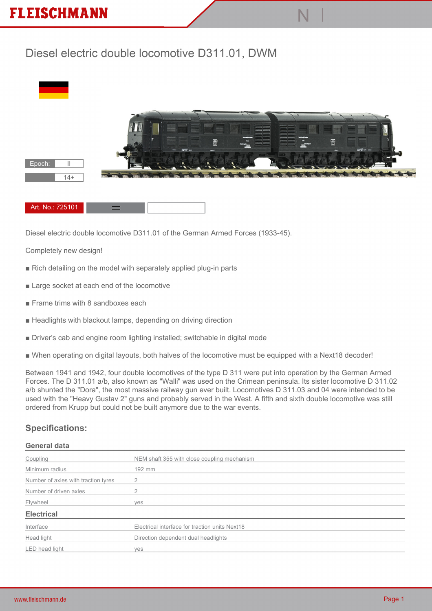## **FLEISCHMANN**

## **Diesel electric double locomotive D311.01, DWM**



**N |**

**Diesel electric double locomotive D311.01 of the German Armed Forces (1933-45).**

**Completely new design!**

- **Rich detailing on the model with separately applied plug-in parts**
- **Large socket at each end of the locomotive**
- **Frame trims with 8 sandboxes each**
- **Headlights with blackout lamps, depending on driving direction**
- **Driver's cab and engine room lighting installed; switchable in digital mode**
- **When operating on digital layouts, both halves of the locomotive must be equipped with a Next18 decoder!**

**Between 1941 and 1942, four double locomotives of the type D 311 were put into operation by the German Armed Forces. The D 311.01 a/b, also known as "Walli" was used on the Crimean peninsula. Its sister locomotive D 311.02 a/b shunted the "Dora", the most massive railway gun ever built. Locomotives D 311.03 and 04 were intended to be used with the "Heavy Gustav 2" guns and probably served in the West. A fifth and sixth double locomotive was still ordered from Krupp but could not be built anymore due to the war events.**

## **Specifications:**

## **General data**

| Coupling                            | NEM shaft 355 with close coupling mechanism    |
|-------------------------------------|------------------------------------------------|
| Minimum radius                      | 192 mm                                         |
| Number of axles with traction tyres |                                                |
| Number of driven axles              |                                                |
| Flywheel                            | yes                                            |
| <b>Electrical</b>                   |                                                |
| Interface                           | Electrical interface for traction units Next18 |
| Head light                          | Direction dependent dual headlights            |
| LED head light                      | <b>ves</b>                                     |